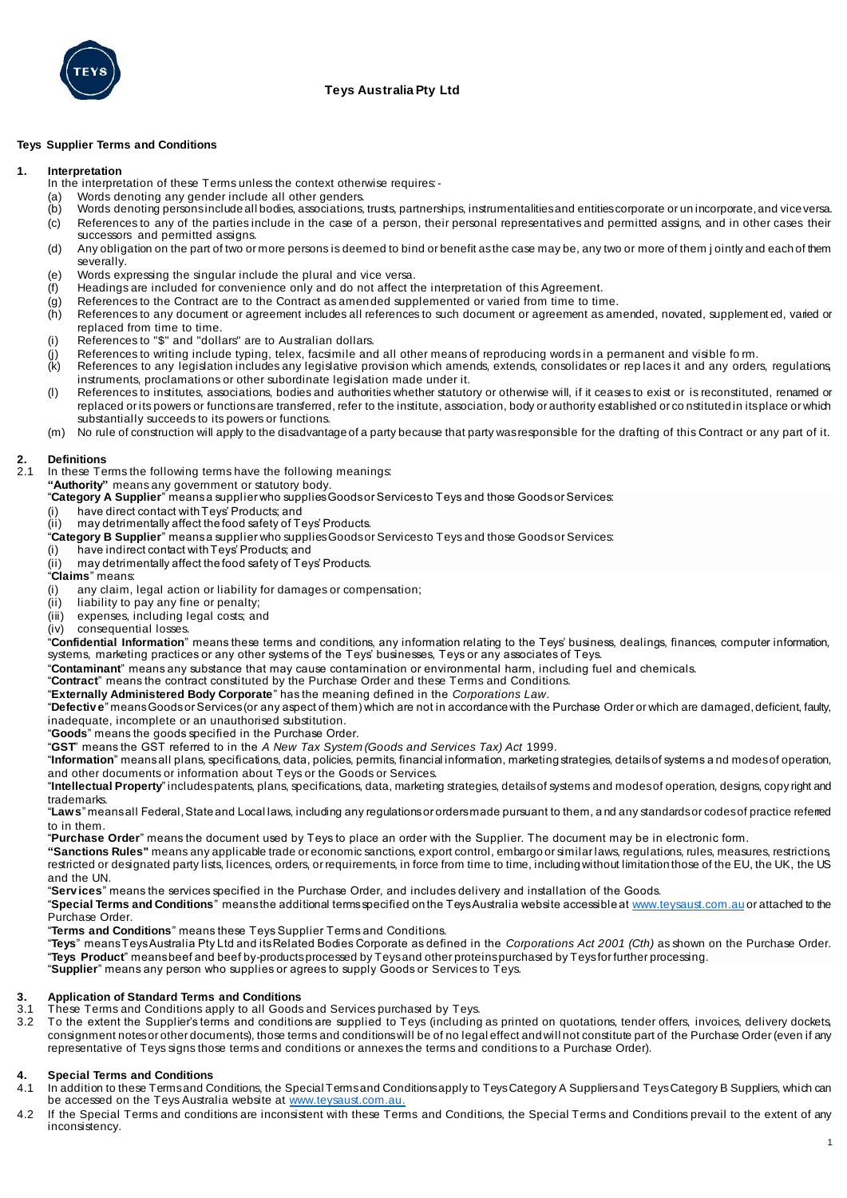

# **Teys Australia Pty Ltd**

## **Teys Supplier Terms and Conditions**

## **1. Interpretation**

- In the interpretation of these Terms unless the context otherwise requires:
- (a) Words denoting any gender include all other genders.
- (b) Words denoting persons include all bodies, associations, trusts, partnerships, instrumentalities and entities corporate or un incorporate, and vice versa.
- (c) References to any of the parties include in the case of a person, their personal representatives and permitted assigns, and in other cases their successors and permitted assigns.
- (d) Any obligation on the part of two or more persons is deemed to bind or benefit as the case may be, any two or more of them j ointly and each of them severally.
- (e) Words expressing the singular include the plural and vice versa.
- (f) Headings are included for convenience only and do not affect the interpretation of this Agreement.
- (g) References to the Contract are to the Contract as amended supplemented or varied from time to time.
- (h) References to any document or agreement includes all references to such document or agreement as amended, novated, supplement ed, varied or replaced from time to time.
- (i) References to "\$" and "dollars" are to Australian dollars.
- $(i)$  References to writing include typing, telex, facsimile and all other means of reproducing words in a permanent and visible fo m.
- (k) References to any legislation includes any legislative provision which amends, extends, consolidates or rep laces it and any orders, regulations, instruments, proclamations or other subordinate legislation made under it.
- (l) References to institutes, associations, bodies and authorities whether statutory or otherwise will, if it ceases to exist or is reconstituted, renamed or replaced or its powers or functions are transferred, refer to the institute, association, body or authority established or co nstituted in its place or which substantially succeeds to its powers or functions.
- (m) No rule of construction will apply to the disadvantage of a party because that party was responsible for the drafting of this Contract or any part of it.

# **2. Definitions**

In these Terms the following terms have the following meanings:

**"Authority"** means any government or statutory body.

- "**Category A Supplier**" means a supplier who supplies Goods or Services to Teys and those Goods or Services:
- (i) have direct contact with Teys' Products; and<br>(ii) may detrimentally affect the food safety of Te
- may detrimentally affect the food safety of Teys' Products.
- "Category B Supplier" means a supplier who supplies Goods or Services to Teys and those Goods or Services:
- (i) have indirect contact with Teys' Products; and
- (ii) may detrimentally affect the food safety of Teys' Products.
- "**Claims**" means:
- (i) any claim, legal action or liability for damages or compensation;<br>(ii) liability to pay any fine or penalty;
- liability to pay any fine or penalty;
- (iii) expenses, including legal costs; and
- (iv) consequential losses.

"**Confidential Information**" means these terms and conditions, any information relating to the Teys' business, dealings, finances, computer information, systems, marketing practices or any other systems of the Teys' businesses, Teys or any associates of Teys.

"**Contaminant**" means any substance that may cause contamination or environmental harm, including fuel and chemicals.

## "**Contract**" means the contract constituted by the Purchase Order and these Terms and Conditions.

"**Externally Administered Body Corporate**" has the meaning defined in the *Corporations Law.*

"**Defectiv e**" means Goods or Services (or any aspect of them) which are not in accordance with the Purchase Order or which are damaged, deficient, faulty, inadequate, incomplete or an unauthorised substitution.

- "**Goods**" means the goods specified in the Purchase Order.
- "**GST**" means the GST referred to in the *A New Tax System (Goods and Services Tax) Act* 1999.

"**Information**" means all plans, specifications, data, policies, permits, financial information, marketing strategies, details of systems a nd modes of operation, and other documents or information about Teys or the Goods or Services.

"**Intellectual Property**" includes patents, plans, specifications, data, marketing strategies, details of systems and modes of operation, designs, copy right and trademarks.

"**Laws**" means all Federal, State and Local laws, including any regulations or orders made pursuant to them, a nd any standards or codes of practice referred to in them.

"**Purchase Order**" means the document used by Teys to place an order with the Supplier. The document may be in electronic form.

**"Sanctions Rules"** means any applicable trade or economic sanctions, export control, embargo or similar laws, regulations, rules, measures, restrictions, restricted or designated party lists, licences, orders, or requirements, in force from time to time, including without limitation those of the EU, the UK, the US and the UN.

"**Serv ices**" means the services specified in the Purchase Order, and includes delivery and installation of the Goods.

"**Special Terms and Conditions**" means the additional terms specified on the Teys Australia website accessible [at www.teysaust.com.au](http://www.teysaust.com.au/) or attached to the Purchase Order.

"**Terms and Conditions**" means these Teys Supplier Terms and Conditions.

"**Teys**" means Teys Australia Pty Ltd and its Related Bodies Corporate as defined in the *Corporations Act 2001 (Cth)* as shown on the Purchase Order. "**Teys Product**" means beef and beef by-products processed by Teys and other proteins purchased by Teys for further processing. "**Supplier**" means any person who supplies or agrees to supply Goods or Services to Teys.

## **3. Application of Standard Terms and Conditions**

- 3.1 These Terms and Conditions apply to all Goods and Services purchased by Teys.
- 3.2 To the extent the Supplier's terms and conditions are supplied to Teys (including as printed on quotations, tender offers, invoices, delivery dockets, consignment notes or other documents), those terms and conditions will be of no legal effect and will not constitute part of the Purchase Order (even if any representative of Teys signs those terms and conditions or annexes the terms and conditions to a Purchase Order).

# **4. Special Terms and Conditions**

- 4.1 In addition to these Terms and Conditions, the Special Terms and Conditions apply to Teys Category A Suppliers and Teys Category B Suppliers, which can be accessed on the Teys Australia website [at www.teysaust.com.a](http://www.teysaust.com.au/)u.
- 4.2 If the Special Terms and conditions are inconsistent with these Terms and Conditions, the Special Terms and Conditions prevail to the extent of any inconsistency.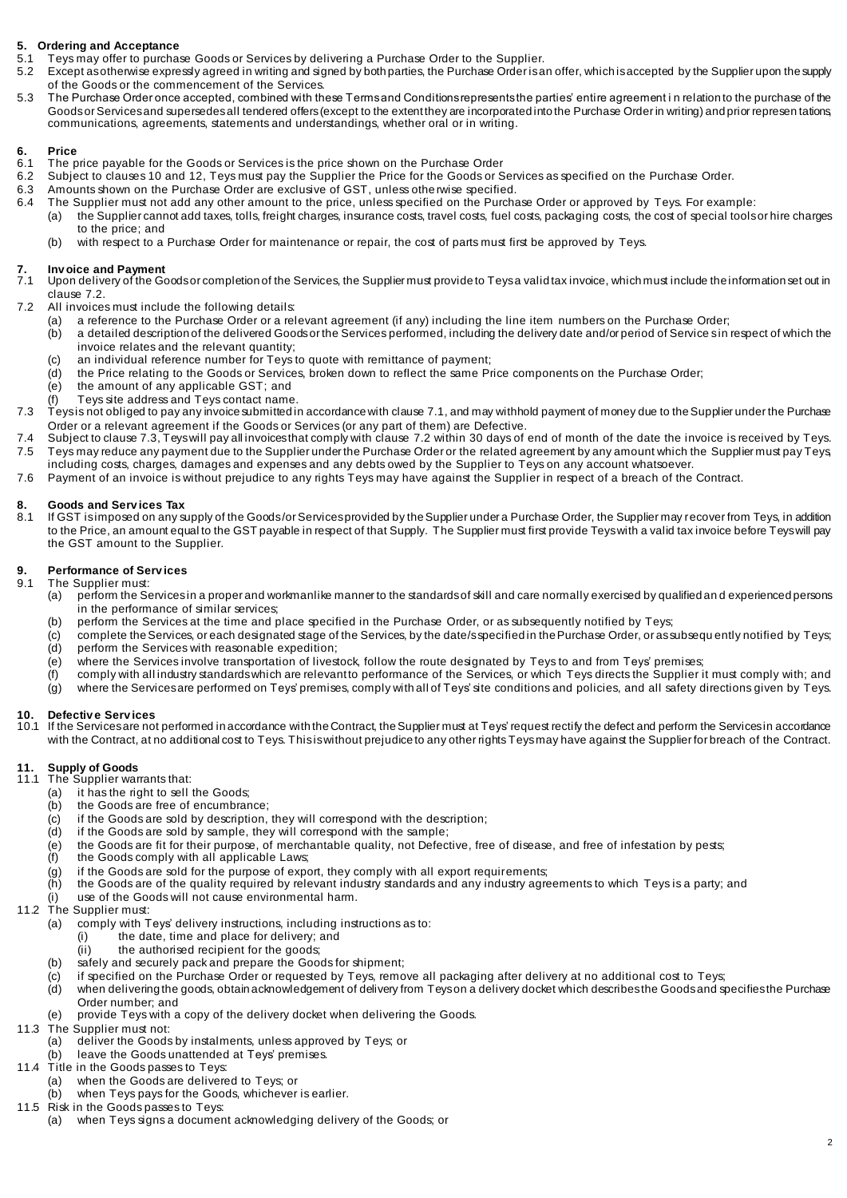# **5. Ordering and Acceptance**

- 5.1 Teys may offer to purchase Goods or Services by delivering a Purchase Order to the Supplier.<br>5.2 Except as otherwise expressiv agreed in writing and signed by both parties, the Purchase Order is a
	- Except as otherwise expressly agreed in writing and signed by both parties, the Purchase Order is an offer, which is accepted by the Supplier upon the supply of the Goods or the commencement of the Services.
- 5.3 The Purchase Order once accepted, combined with these Terms and Conditions represents the parties' entire agreement i n relation to the purchase of the Goods or Services and supersedes all tendered offers (except to the extent they are incorporated into the Purchase Order in writing) and prior represen tations, communications, agreements, statements and understandings, whether oral or in writing.

# **6. Price**

- 6.1 The price payable for the Goods or Services is the price shown on the Purchase Order 6.2 Subject to clauses 10 and 12. Teys must pay the Supplier the Price for the Goods or S
- Subject to clauses 10 and 12, Teys must pay the Supplier the Price for the Goods or Services as specified on the Purchase Order.
- 6.3 Amounts shown on the Purchase Order are exclusive of GST, unless otherwise specified.<br>6.4 The Supplier must not add any other amount to the price, unless specified on the Purcha
	- The Supplier must not add any other amount to the price, unless specified on the Purchase Order or approved by Teys. For example:
	- (a) the Supplier cannot add taxes, tolls, freight charges, insurance costs, travel costs, fuel costs, packaging costs, the cost of special tools or hire charges to the price; and
		- (b) with respect to a Purchase Order for maintenance or repair, the cost of parts must first be approved by Teys.

## **7. Inv oice and Payment**

- Upon delivery of the Goods or completion of the Services, the Supplier must provide to Teys a valid tax invoice, which must include the information set out in clause 7.2.
- 7.2 All invoices must include the following details:
	- (a) a reference to the Purchase Order or a relevant agreement (if any) including the line item numbers on the Purchase Order;<br>(b) a detailed description of the delivered Goods or the Services performed, including the deliv
	- a detailed description of the delivered Goods or the Services performed, including the delivery date and/or period of Service s in respect of which the invoice relates and the relevant quantity;
	- (c) an individual reference number for Teys to quote with remittance of payment;
	- (d) the Price relating to the Goods or Services, broken down to reflect the same Price components on the Purchase Order;<br>(e) the amount of any applicable GST: and
	- the amount of any applicable GST; and
	- (f) Teys site address and Teys contact name.
- 7.3 Teys is not obliged to pay any invoice submitted in accordance with clause 7.1, and may withhold payment of money due to the Supplier under the Purchase Order or a relevant agreement if the Goods or Services (or any part of them) are Defective.
- 7.4 Subject to clause 7.3, Teys will pay all invoices that comply with clause 7.2 within 30 days of end of month of the date the invoice is received by Teys. 7.5 Teys may reduce any payment due to the Supplier under the Purchase Order or the related agreement by any amount which the Supplier must pay Teys, including costs, charges, damages and expenses and any debts owed by the Supplier to Teys on any account whatsoever.
- 7.6 Payment of an invoice is without prejudice to any rights Teys may have against the Supplier in respect of a breach of the Contract.

# **8. Goods and Serv ices Tax**

8.1 If GST is imposed on any supply of the Goods /or Services provided by the Supplier under a Purchase Order, the Supplier may recover from Teys, in addition to the Price, an amount equal to the GST payable in respect of that Supply. The Supplier must first provide Teys with a valid tax invoice before Teys will pay the GST amount to the Supplier.

# **9. Performance of Serv ices**

- The Supplier must:
	- (a) perform the Services in a proper and workmanlike manner to the standards of skill and care normally exercised by qualified and experienced persons in the performance of similar services;
	- (b) perform the Services at the time and place specified in the Purchase Order, or as subsequently notified by Teys;
	- (c) complete the Services, or each designated stage of the Services, by the date/s specified in the Purchase Order, or as subsequently notified by Teys;<br>(d) perform the Services with reasonable expedition: perform the Services with reasonable expedition;
	-
	- (e) where the Services involve transportation of livestock, follow the route designated by Teys to and from Teys' premises;<br>(f) comply with allindustry standards which are relevant to performance of the Services, or which comply with all industry standards which are relevant to performance of the Services, or which Teys directs the Supplier it must comply with; and
	- (g) where the Services are performed on Teys' premises, comply with all of Teys' site conditions and policies, and all safety directions given by Teys.

# **10. Defectiv e Serv ices**

10.1 If the Services are not performed in accordance with the Contract, the Supplier must at Teys' request rectify the defect and perform the Services in accordance with the Contract, at no additional cost to Teys. This is without prejudice to any other rights Teys may have against the Supplier for breach of the Contract.

# **11. Supply of Goods**

- 11.1 The Supplier warrants that:
	- (a) it has the right to sell the Goods;<br>(b) the Goods are free of encumbran
		- the Goods are free of encumbrance;
	- $(c)$  if the Goods are sold by description, they will correspond with the description;
	- (d) if the Goods are sold by sample, they will correspond with the sample;
	- (e) the Goods are fit for their purpose, of merchantable quality, not Defective, free of disease, and free of infestation by pests;
	- (f) the Goods comply with all applicable Laws;
	- $\begin{pmatrix} 0 \\ 0 \end{pmatrix}$  if the Goods are sold for the purpose of export, they comply with all export requirements;<br>(b) the Goods are of the quality required by relevant industry standards and any industry agree
	- the Goods are of the quality required by relevant industry standards and any industry agreements to which Teys is a party; and
	- (i) use of the Goods will not cause environmental harm.
- 11.2 The Supplier must:
	- (a) comply with Teys' delivery instructions, including instructions as to:
		- the date, time and place for delivery; and
			- (ii) the authorised recipient for the goods;
	- (b) safely and securely pack and prepare the Goods for shipment;
	- (c) if specified on the Purchase Order or requested by Teys, remove all packaging after delivery at no additional cost to Teys;<br>(d) when delivering the goods, obtain acknowledgement of delivery from Teyson a delivery docke
	- when delivering the goods, obtain acknowledgement of delivery from Teyson a delivery docket which describes the Goods and specifies the Purchase Order number; and
	- (e) provide Teys with a copy of the delivery docket when delivering the Goods.
- 11.3 The Supplier must not:
	- (a) deliver the Goods by instalments, unless approved by Teys; or
	- (b) leave the Goods unattended at Teys' premises.
- 11.4 Title in the Goods passes to Teys:
	- (a) when the Goods are delivered to Teys; or<br>(b) when Teys pays for the Goods, whichever
	- when Teys pays for the Goods, whichever is earlier.
- 11.5 Risk in the Goods passes to Teys:
	- (a) when Teys signs a document acknowledging delivery of the Goods; or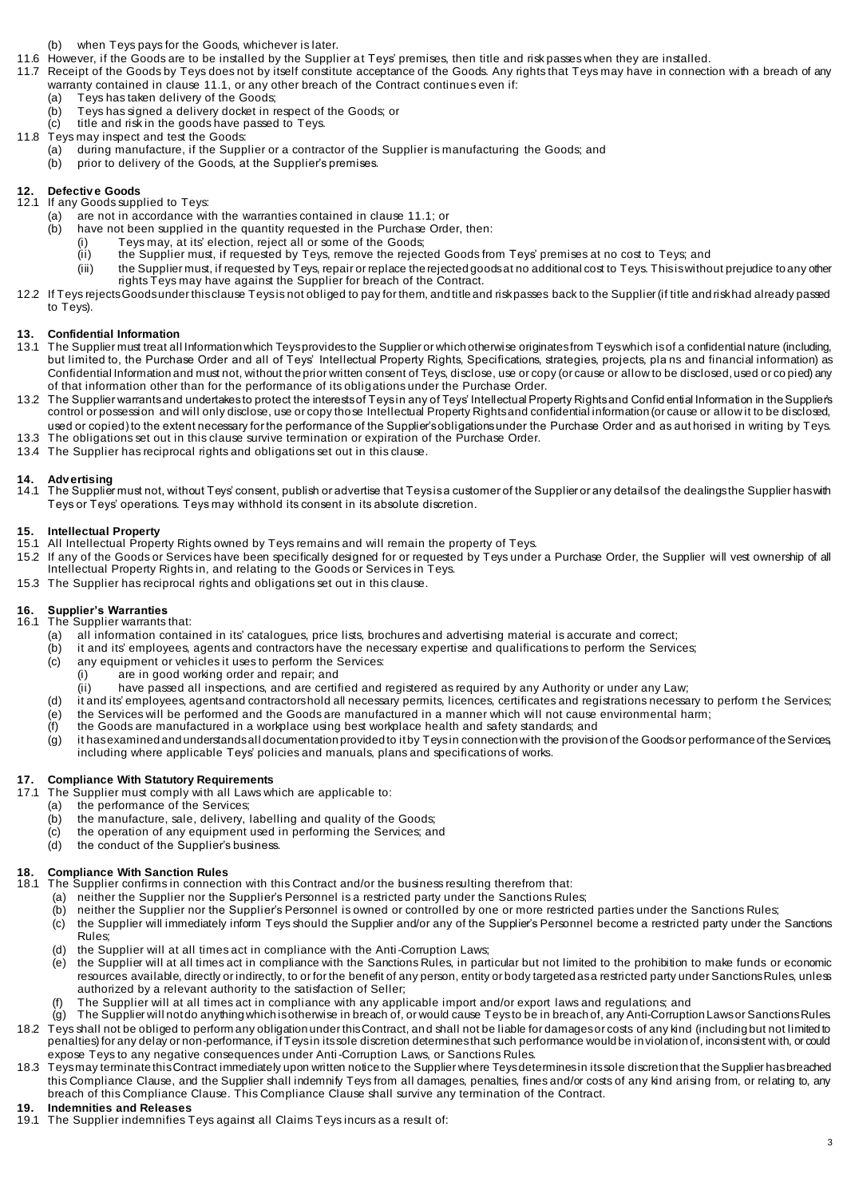- (b) when Teys pays for the Goods, whichever is later.
- 11.6 However, if the Goods are to be installed by the Supplier at Teys' premises, then title and risk passes when they are installed.
- 11.7 Receipt of the Goods by Teys does not by itself constitute acceptance of the Goods. Any rights that Teys may have in connection with a breach of any warranty contained in clause 11.1, or any other breach of the Contract continues even if:
	- (a) Teys has taken delivery of the Goods;
	- (b) Teys has signed a delivery docket in respect of the Goods; or
	- (c) title and risk in the goods have passed to Teys.
- 11.8 Teys may inspect and test the Goods:
	- (a) during manufacture, if the Supplier or a contractor of the Supplier is manufacturing the Goods; and
	- (b) prior to delivery of the Goods, at the Supplier's premises.

# **12. Defectiv e Goods**

- 12.1 If any Goods supplied to Teys:
	- (a) are not in accordance with the warranties contained in clause 11.1; or  $(b)$  have not been supplied in the quantity requested in the Purchase Orde have not been supplied in the quantity requested in the Purchase Order, then:
		-
		- (i) Teys may, at its' election, reject all or some of the Goods;<br>(ii) the Supplier must, if requested by Teys, remove the reject the Supplier must, if requested by Teys, remove the rejected Goods from Teys' premises at no cost to Teys; and
		- (iii) the Supplier must, if requested by Teys, repair or replace the rejected goods at no additional cost to Teys. This is without prejudice to any other rights Teys may have against the Supplier for breach of the Contract.
- 12.2 If Teys rejects Goods under this clause Teysis not obliged to pay for them, and title and risk passes back to the Supplier (if title and risk had already passed to Teys).

# **13. Confidential Information**

- 13.1 The Supplier must treat all Information which Teys provides to the Supplier or which otherwise originates from Teys which is of a confidential nature (including, but limited to, the Purchase Order and all of Teys' Intellectual Property Rights, Specifications, strategies, projects, pla ns and financial information) as Confidential Information and must not, without the prior written consent of Teys, disclose, use or copy (or cause or allow to be disclosed, used or co pied) any of that information other than for the performance of its obligations under the Purchase Order.
- 13.2 The Supplier warrants and undertakes to protect the interests of Teysin any of Teys' Intellectual Property Rights and Confid ential Information in the Supplier's control or possession and will only disclose, use or copy those Intellectual Property Rights and confidential information (or cause or allow it to be disclosed, used or copied) to the extent necessary for the performance of the Supplier's obligations under the Purchase Order and as aut horised in writing by Teys.
- 13.3 The obligations set out in this clause survive termination or expiration of the Purchase Order.
- 13.4 The Supplier has reciprocal rights and obligations set out in this clause.

## **14. Adv ertising**

14.1 The Supplier must not, without Teys' consent, publish or advertise that Teys is a customer of the Supplier or any details of the dealings the Supplier has with Teys or Teys' operations. Teys may withhold its consent in its absolute discretion.

### **15. Intellectual Property**

- 15.1 All Intellectual Property Rights owned by Teys remains and will remain the property of Teys.
- 15.2 If any of the Goods or Services have been specifically designed for or requested by Teys under a Purchase Order, the Supplier will vest ownership of all Intellectual Property Rights in, and relating to the Goods or Services in Teys.
- 15.3 The Supplier has reciprocal rights and obligations set out in this clause.

# **16. Supplier's Warranties**

- 16.1 The Supplier warrants that:
	- (a) all information contained in its' catalogues, price lists, brochures and advertising material is accurate and correct;
	- (b) it and its' employees, agents and contractors have the necessary expertise and qualifications to perform the Services;
	- (c) any equipment or vehicles it uses to perform the Services:<br>(i) are in good working order and repair; and
		- are in good working order and repair; and
		- (ii) have passed all inspections, and are certified and registered as required by any Authority or under any Law;
	- (d) it and its' employees, agents and contractors hold all necessary permits, licences, certificates and registrations necessary to perform t he Services;
	- (e) the Services will be performed and the Goods are manufactured in a manner which will not cause environmental harm;<br>(f) the Goods are manufactured in a workplace using best workplace health and safety standards; and
	- the Goods are manufactured in a workplace using best workplace health and safety standards; and
	- (g) it has examined and understands all documentation provided to it by Teysin connection with the provision of the Goods or performance of the Services, including where applicable Teys' policies and manuals, plans and specifications of works.

## **17. Compliance With Statutory Requirements**

- 17.1 The Supplier must comply with all Laws which are applicable to:
	- (a) the performance of the Services;
	- $(b)$  the manufacture, sale, delivery, labelling and quality of the Goods;
	- (c) the operation of any equipment used in performing the Services; and
	- (d) the conduct of the Supplier's business.

## **18. Compliance With Sanction Rules**

- 18.1 The Supplier confirms in connection with this Contract and/or the business resulting therefrom that:
	- (a) neither the Supplier nor the Supplier's Personnel is a restricted party under the Sanctions Rules;<br>(b) neither the Supplier nor the Supplier's Personnel is owned or controlled by one or more restricte
	- neither the Supplier nor the Supplier's Personnel is owned or controlled by one or more restricted parties under the Sanctions Rules;
	- (c) the Supplier will immediately inform Teys should the Supplier and/or any of the Supplier's Personnel become a restricted party under the Sanctions Rules;
	- (d) the Supplier will at all times act in compliance with the Anti-Corruption Laws;
	- $\overline{e}$  the Supplier will at all times act in compliance with the Sanctions Rules, in particular but not limited to the prohibition to make funds or economic resources available, directly or indirectly, to or for the benefit of any person, entity or body targeted as a restricted party under Sanctions Rules, unless authorized by a relevant authority to the satisfaction of Seller;
	- The Supplier will at all times act in compliance with any applicable import and/or export laws and regulations; and
- (g) The Supplier will not do anything which is otherwise in breach of, or would cause Teys to be in breach of, any Anti-Corruption Laws or Sanctions Rules. 18.2 Teys shall not be obliged to perform any obligation under this Contract, and shall not be liable for damages or costs of any kind (including but not limited to penalties) for any delay or non-performance, if Teys in its sole discretion determines that such performance would be in violation of, inconsistent with, or could expose Teys to any negative consequences under Anti-Corruption Laws, or Sanctions Rules.
- 18.3 Teys may terminate this Contract immediately upon written notice to the Supplier where Teys determines in its sole discretion that the Supplier has breached this Compliance Clause, and the Supplier shall indemnify Teys from all damages, penalties, fines and/or costs of any kind arising from, or relating to, any breach of this Compliance Clause. This Compliance Clause shall survive any termination of the Contract.

### **19. Indemnities and Releases**

19.1 The Supplier indemnifies Teys against all Claims Teys incurs as a result of: